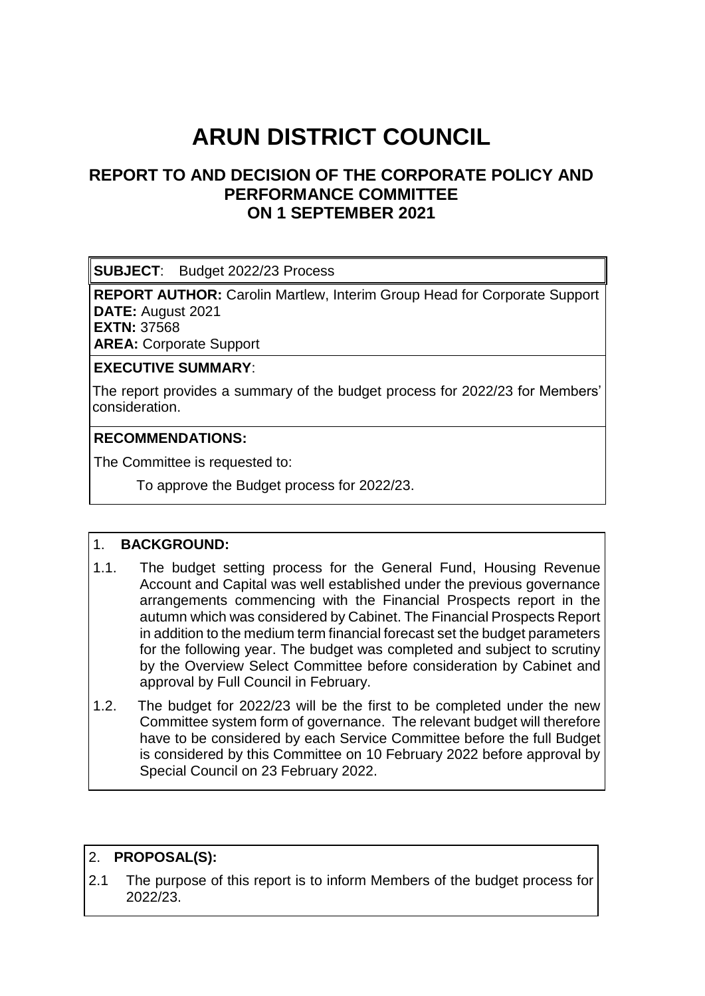# **ARUN DISTRICT COUNCIL**

## **REPORT TO AND DECISION OF THE CORPORATE POLICY AND PERFORMANCE COMMITTEE ON 1 SEPTEMBER 2021**

**SUBJECT**: Budget 2022/23 Process

**REPORT AUTHOR:** Carolin Martlew, Interim Group Head for Corporate Support **DATE:** August 2021

**EXTN:** 37568

**AREA:** Corporate Support

#### **EXECUTIVE SUMMARY**:

 The report provides a summary of the budget process for 2022/23 for Members' consideration.

#### **RECOMMENDATIONS:**

The Committee is requested to:

To approve the Budget process for 2022/23.

#### 1. **BACKGROUND:**

- 1.1. The budget setting process for the General Fund, Housing Revenue Account and Capital was well established under the previous governance arrangements commencing with the Financial Prospects report in the autumn which was considered by Cabinet. The Financial Prospects Report in addition to the medium term financial forecast set the budget parameters for the following year. The budget was completed and subject to scrutiny by the Overview Select Committee before consideration by Cabinet and approval by Full Council in February.
- 1.2. The budget for 2022/23 will be the first to be completed under the new Committee system form of governance. The relevant budget will therefore have to be considered by each Service Committee before the full Budget is considered by this Committee on 10 February 2022 before approval by Special Council on 23 February 2022.

#### 2. **PROPOSAL(S):**

2.1 The purpose of this report is to inform Members of the budget process for 2022/23.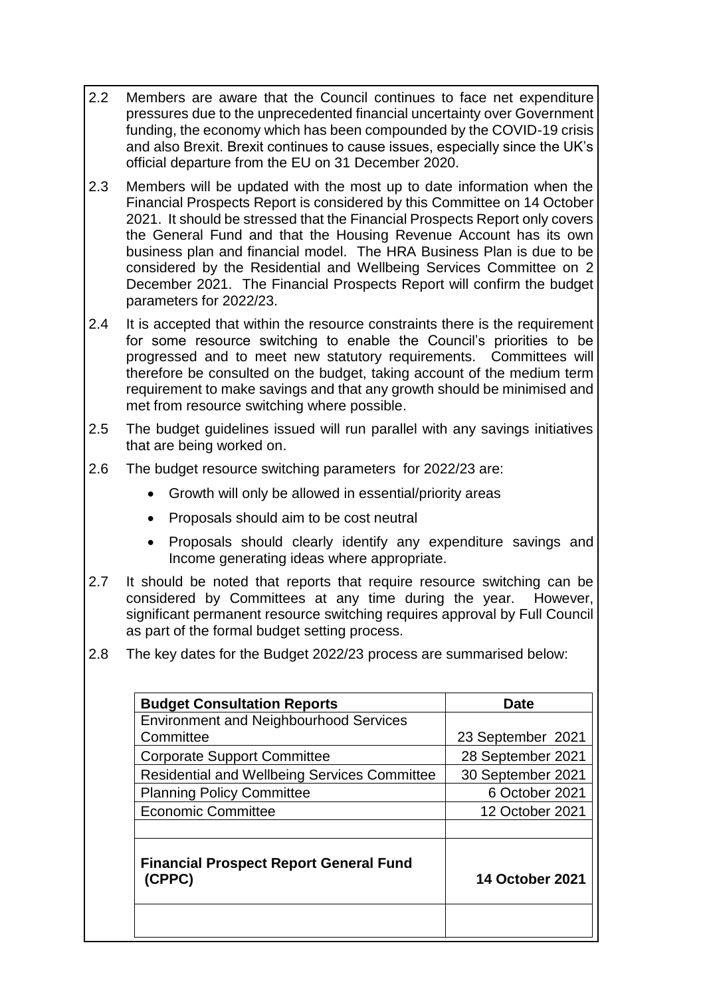- 2.2 Members are aware that the Council continues to face net expenditure pressures due to the unprecedented financial uncertainty over Government funding, the economy which has been compounded by the COVID-19 crisis and also Brexit. Brexit continues to cause issues, especially since the UK's official departure from the EU on 31 December 2020.
- 2.3 Members will be updated with the most up to date information when the Financial Prospects Report is considered by this Committee on 14 October 2021. It should be stressed that the Financial Prospects Report only covers the General Fund and that the Housing Revenue Account has its own business plan and financial model. The HRA Business Plan is due to be considered by the Residential and Wellbeing Services Committee on 2 December 2021. The Financial Prospects Report will confirm the budget parameters for 2022/23.
- 2.4 It is accepted that within the resource constraints there is the requirement for some resource switching to enable the Council's priorities to be progressed and to meet new statutory requirements. Committees will therefore be consulted on the budget, taking account of the medium term requirement to make savings and that any growth should be minimised and met from resource switching where possible.
- 2.5 The budget guidelines issued will run parallel with any savings initiatives that are being worked on.
- 2.6 The budget resource switching parameters for 2022/23 are:
	- Growth will only be allowed in essential/priority areas
	- Proposals should aim to be cost neutral
	- Proposals should clearly identify any expenditure savings and Income generating ideas where appropriate.
- 2.7 It should be noted that reports that require resource switching can be considered by Committees at any time during the year. However, significant permanent resource switching requires approval by Full Council as part of the formal budget setting process.
- 2.8 The key dates for the Budget 2022/23 process are summarised below:

| <b>Budget Consultation Reports</b>                      | Date                   |
|---------------------------------------------------------|------------------------|
| <b>Environment and Neighbourhood Services</b>           |                        |
| Committee                                               | 23 September 2021      |
| <b>Corporate Support Committee</b>                      | 28 September 2021      |
| Residential and Wellbeing Services Committee            | 30 September 2021      |
| <b>Planning Policy Committee</b>                        | 6 October 2021         |
| <b>Economic Committee</b>                               | 12 October 2021        |
| <b>Financial Prospect Report General Fund</b><br>(CPPC) | <b>14 October 2021</b> |
|                                                         |                        |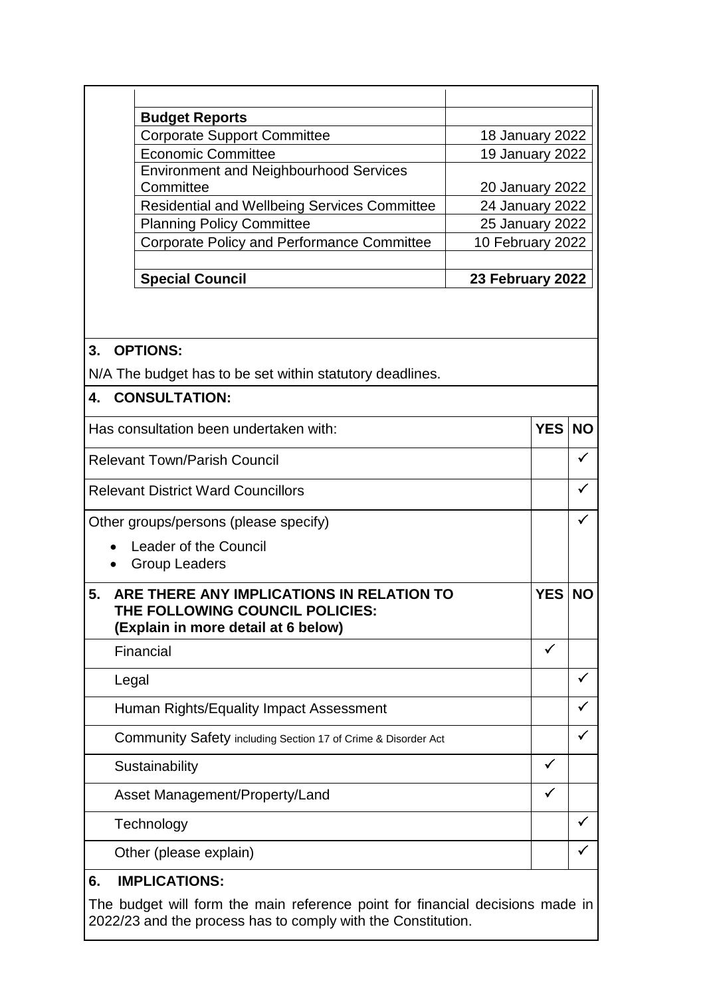| 25 January 2022<br>10 February 2022 |
|-------------------------------------|
|                                     |
|                                     |
|                                     |
| 24 January 2022                     |
| <b>20 January 2022</b>              |
|                                     |
| 19 January 2022                     |
| 18 January 2022                     |
|                                     |
|                                     |

#### **3. OPTIONS:**

N/A The budget has to be set within statutory deadlines.

### **4. CONSULTATION:**

| Has consultation been undertaken with:                                                                                    | <b>YES</b>   | <b>NO</b>    |
|---------------------------------------------------------------------------------------------------------------------------|--------------|--------------|
| <b>Relevant Town/Parish Council</b>                                                                                       |              |              |
| <b>Relevant District Ward Councillors</b>                                                                                 |              |              |
| Other groups/persons (please specify)                                                                                     |              |              |
| Leader of the Council<br><b>Group Leaders</b>                                                                             |              |              |
| ARE THERE ANY IMPLICATIONS IN RELATION TO<br>5.<br>THE FOLLOWING COUNCIL POLICIES:<br>(Explain in more detail at 6 below) | <b>YES</b>   | <b>NO</b>    |
| Financial                                                                                                                 | $\checkmark$ |              |
| Legal                                                                                                                     |              |              |
| Human Rights/Equality Impact Assessment                                                                                   |              |              |
| Community Safety including Section 17 of Crime & Disorder Act                                                             |              | ✓            |
| Sustainability                                                                                                            | $\checkmark$ |              |
| Asset Management/Property/Land                                                                                            | $\checkmark$ |              |
| Technology                                                                                                                |              | $\checkmark$ |
| Other (please explain)                                                                                                    |              |              |
|                                                                                                                           |              |              |

#### **6. IMPLICATIONS:**

The budget will form the main reference point for financial decisions made in 2022/23 and the process has to comply with the Constitution.